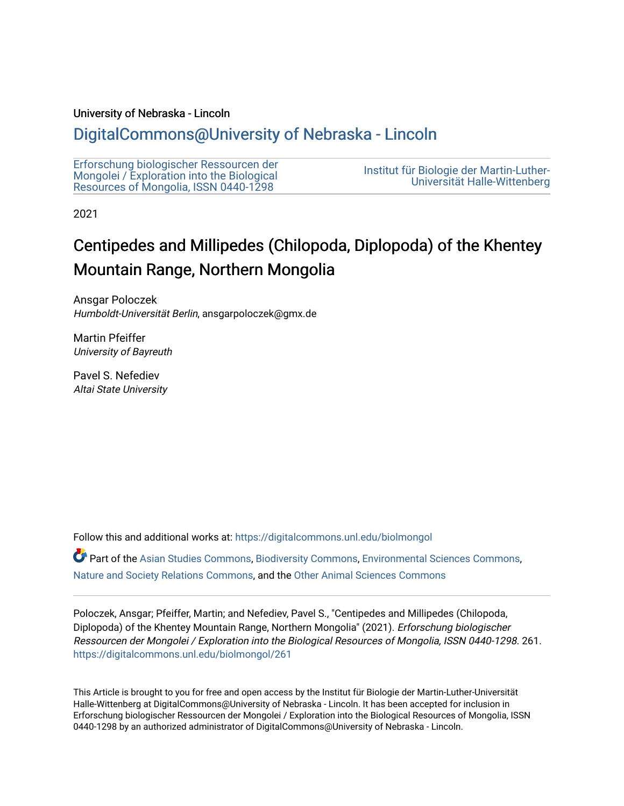## University of Nebraska - Lincoln

## [DigitalCommons@University of Nebraska - Lincoln](https://digitalcommons.unl.edu/)

| Erforschung biologischer Ressourcen der<br>Mongolei / Exploration into the Biological<br>Resources of Mongolia, ISSN 0440-1298 | Institut für Biologie der Martin-Luther-<br>Universität Halle-Wittenberg |
|--------------------------------------------------------------------------------------------------------------------------------|--------------------------------------------------------------------------|
|--------------------------------------------------------------------------------------------------------------------------------|--------------------------------------------------------------------------|

2021

# Centipedes and Millipedes (Chilopoda, Diplopoda) of the Khentey Mountain Range, Northern Mongolia

Ansgar Poloczek Humboldt-Universität Berlin, ansgarpoloczek@gmx.de

Martin Pfeiffer University of Bayreuth

Pavel S. Nefediev Altai State University

Follow this and additional works at: [https://digitalcommons.unl.edu/biolmongol](https://digitalcommons.unl.edu/biolmongol?utm_source=digitalcommons.unl.edu%2Fbiolmongol%2F261&utm_medium=PDF&utm_campaign=PDFCoverPages) 

Part of the [Asian Studies Commons,](http://network.bepress.com/hgg/discipline/361?utm_source=digitalcommons.unl.edu%2Fbiolmongol%2F261&utm_medium=PDF&utm_campaign=PDFCoverPages) [Biodiversity Commons](http://network.bepress.com/hgg/discipline/1127?utm_source=digitalcommons.unl.edu%2Fbiolmongol%2F261&utm_medium=PDF&utm_campaign=PDFCoverPages), [Environmental Sciences Commons](http://network.bepress.com/hgg/discipline/167?utm_source=digitalcommons.unl.edu%2Fbiolmongol%2F261&utm_medium=PDF&utm_campaign=PDFCoverPages), [Nature and Society Relations Commons,](http://network.bepress.com/hgg/discipline/357?utm_source=digitalcommons.unl.edu%2Fbiolmongol%2F261&utm_medium=PDF&utm_campaign=PDFCoverPages) and the [Other Animal Sciences Commons](http://network.bepress.com/hgg/discipline/82?utm_source=digitalcommons.unl.edu%2Fbiolmongol%2F261&utm_medium=PDF&utm_campaign=PDFCoverPages) 

Poloczek, Ansgar; Pfeiffer, Martin; and Nefediev, Pavel S., "Centipedes and Millipedes (Chilopoda, Diplopoda) of the Khentey Mountain Range, Northern Mongolia" (2021). Erforschung biologischer Ressourcen der Mongolei / Exploration into the Biological Resources of Mongolia, ISSN 0440-1298. 261. [https://digitalcommons.unl.edu/biolmongol/261](https://digitalcommons.unl.edu/biolmongol/261?utm_source=digitalcommons.unl.edu%2Fbiolmongol%2F261&utm_medium=PDF&utm_campaign=PDFCoverPages) 

This Article is brought to you for free and open access by the Institut für Biologie der Martin-Luther-Universität Halle-Wittenberg at DigitalCommons@University of Nebraska - Lincoln. It has been accepted for inclusion in Erforschung biologischer Ressourcen der Mongolei / Exploration into the Biological Resources of Mongolia, ISSN 0440-1298 by an authorized administrator of DigitalCommons@University of Nebraska - Lincoln.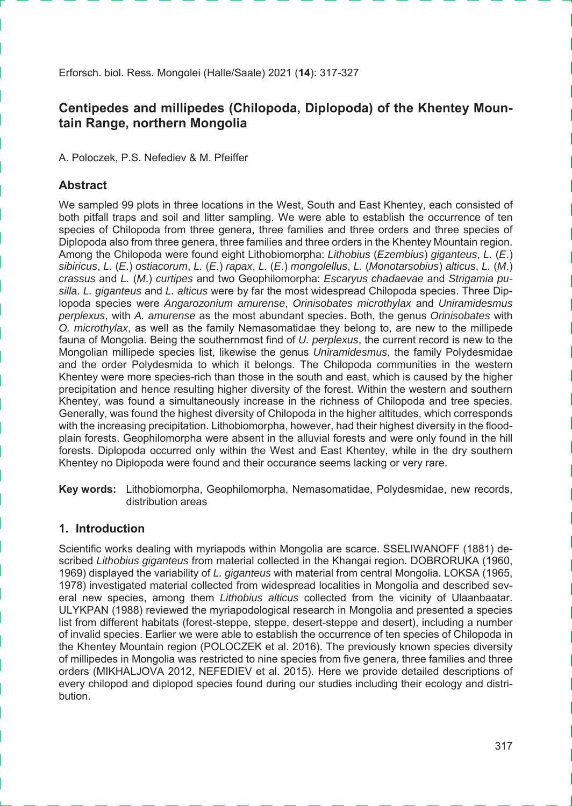Erforsch. biol. Ress. Mongolei (Halle/Saale) 2021 (**14**): 317-327

## **Centipedes and millipedes (Chilopoda, Diplopoda) of the Khentey Mountain Range, northern Mongolia**

A. Poloczek, P.S. Nefediev & M. Pfeiffer

#### **Abstract**

We sampled 99 plots in three locations in the West, South and East Khentey, each consisted of both pitfall traps and soil and litter sampling. We were able to establish the occurrence of ten species of Chilopoda from three genera, three families and three orders and three species of Diplopoda also from three genera, three families and three orders in the Khentey Mountain region. Among the Chilopoda were found eight Lithobiomorpha: *Lithobius* (*Ezembius*) *giganteus*, *L.* (*E*.) *sibiricus*, *L.* (*E*.) *ostiacorum*, *L.* (*E*.) *rapax*, *L.* (*E*.) *mongolellus*, *L.* (*Monotarsobius*) *alticus*, *L.* (*M*.) *crassus* and *L.* (*M*.) *curtipes* and two Geophilomorpha: *Escaryus chadaevae* and *Strigamia pusilla*. *L. giganteus* and *L. alticus* were by far the most widespread Chilopoda species. Three Diplopoda species were *Angarozonium amurense*, *Orinisobates microthylax* and *Uniramidesmus perplexus*, with *A. amurense* as the most abundant species. Both, the genus *Orinisobates* with *O. microthylax*, as well as the family Nemasomatidae they belong to, are new to the millipede fauna of Mongolia. Being the southernmost find of *U. perplexus*, the current record is new to the Mongolian millipede species list, likewise the genus *Uniramidesmus*, the family Polydesmidae and the order Polydesmida to which it belongs. The Chilopoda communities in the western Khentey were more species-rich than those in the south and east, which is caused by the higher precipitation and hence resulting higher diversity of the forest. Within the western and southern Khentey, was found a simultaneously increase in the richness of Chilopoda and tree species. Generally, was found the highest diversity of Chilopoda in the higher altitudes, which corresponds with the increasing precipitation. Lithobiomorpha, however, had their highest diversity in the floodplain forests. Geophilomorpha were absent in the alluvial forests and were only found in the hill forests. Diplopoda occurred only within the West and East Khentey, while in the dry southern Khentey no Diplopoda were found and their occurance seems lacking or very rare.

**Key words:** Lithobiomorpha, Geophilomorpha, Nemasomatidae, Polydesmidae, new records, distribution areas

#### **1. Introduction**

Scientific works dealing with myriapods within Mongolia are scarce. SSELIWANOFF (1881) described *Lithobius giganteus* from material collected in the Khangai region. DOBRORUKA (1960, 1969) displayed the variability of *L. giganteus* with material from central Mongolia. LOKSA (1965, 1978) investigated material collected from widespread localities in Mongolia and described several new species, among them *Lithobius alticus* collected from the vicinity of Ulaanbaatar. ULYKPAN (1988) reviewed the myriapodological research in Mongolia and presented a species list from different habitats (forest-steppe, steppe, desert-steppe and desert), including a number of invalid species. Earlier we were able to establish the occurrence of ten species of Chilopoda in the Khentey Mountain region (POLOCZEK et al. 2016). The previously known species diversity of millipedes in Mongolia was restricted to nine species from five genera, three families and three orders (MIKHALJOVA 2012, NEFEDIEV et al. 2015). Here we provide detailed descriptions of every chilopod and diplopod species found during our studies including their ecology and distribution.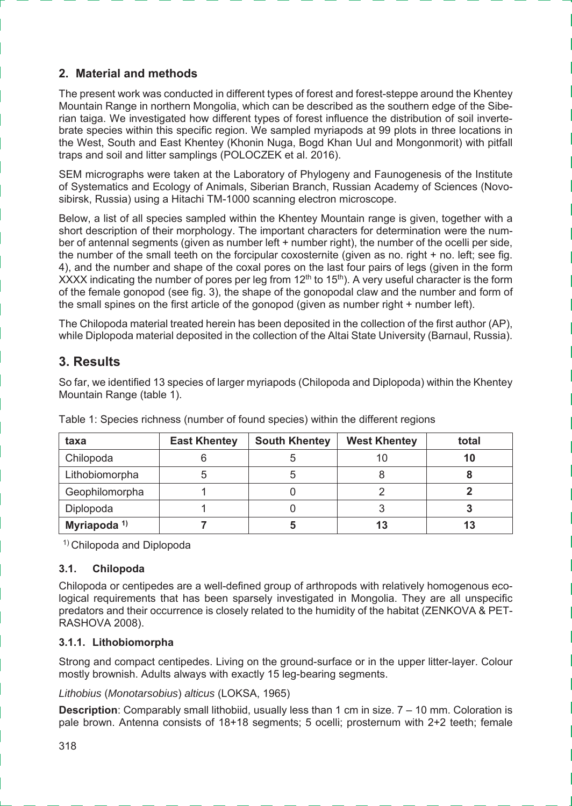### **2. Material and methods**

The present work was conducted in different types of forest and forest-steppe around the Khentey Mountain Range in northern Mongolia, which can be described as the southern edge of the Siberian taiga. We investigated how different types of forest influence the distribution of soil invertebrate species within this specific region. We sampled myriapods at 99 plots in three locations in the West, South and East Khentey (Khonin Nuga, Bogd Khan Uul and Mongonmorit) with pitfall traps and soil and litter samplings (POLOCZEK et al. 2016).

SEM micrographs were taken at the Laboratory of Phylogeny and Faunogenesis of the Institute of Systematics and Ecology of Animals, Siberian Branch, Russian Academy of Sciences (Novosibirsk, Russia) using a Hitachi TM-1000 scanning electron microscope.

Below, a list of all species sampled within the Khentey Mountain range is given, together with a short description of their morphology. The important characters for determination were the number of antennal segments (given as number left + number right), the number of the ocelli per side, the number of the small teeth on the forcipular coxosternite (given as no. right + no. left; see fig. 4), and the number and shape of the coxal pores on the last four pairs of legs (given in the form XXXX indicating the number of pores per leg from  $12<sup>th</sup>$  to  $15<sup>th</sup>$ ). A very useful character is the form of the female gonopod (see fig. 3), the shape of the gonopodal claw and the number and form of the small spines on the first article of the gonopod (given as number right + number left).

The Chilopoda material treated herein has been deposited in the collection of the first author (AP), while Diplopoda material deposited in the collection of the Altai State University (Barnaul, Russia).

## **3. Results**

So far, we identified 13 species of larger myriapods (Chilopoda and Diplopoda) within the Khentey Mountain Range (table 1).

| taxa                    | <b>East Khentey</b> | <b>South Khentey</b> | <b>West Khentey</b> | total |
|-------------------------|---------------------|----------------------|---------------------|-------|
| Chilopoda               |                     |                      |                     | 10    |
| Lithobiomorpha          |                     |                      |                     |       |
| Geophilomorpha          |                     |                      |                     |       |
| Diplopoda               |                     |                      |                     |       |
| Myriapoda <sup>1)</sup> |                     | Ð                    |                     | 13    |

Table 1: Species richness (number of found species) within the different regions

1) Chilopoda and Diplopoda

#### **3.1. Chilopoda**

Chilopoda or centipedes are a well-defined group of arthropods with relatively homogenous ecological requirements that has been sparsely investigated in Mongolia. They are all unspecific predators and their occurrence is closely related to the humidity of the habitat (ZENKOVA & PET-RASHOVA 2008).

#### **3.1.1. Lithobiomorpha**

Strong and compact centipedes. Living on the ground-surface or in the upper litter-layer. Colour mostly brownish. Adults always with exactly 15 leg-bearing segments.

*Lithobius* (*Monotarsobius*) *alticus* (LOKSA, 1965)

**Description**: Comparably small lithobiid, usually less than 1 cm in size. 7 – 10 mm. Coloration is pale brown. Antenna consists of 18+18 segments; 5 ocelli; prosternum with 2+2 teeth; female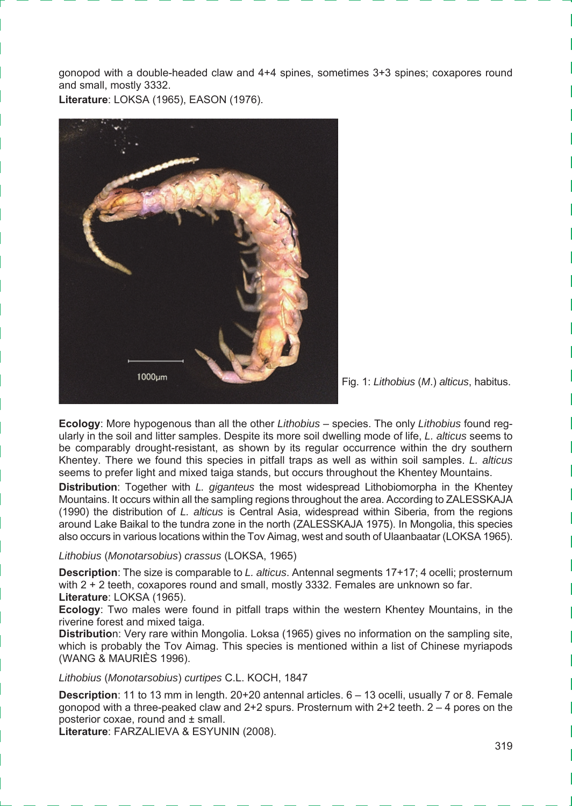gonopod with a double-headed claw and 4+4 spines, sometimes 3+3 spines; coxapores round and small, mostly 3332.

**Literature**: LOKSA (1965), EASON (1976).



Fig. 1: *Lithobius* (*M*.) *alticus*, habitus.

**Ecology**: More hypogenous than all the other *Lithobius* – species. The only *Lithobius* found regularly in the soil and litter samples. Despite its more soil dwelling mode of life, *L. alticus* seems to be comparably drought-resistant, as shown by its regular occurrence within the dry southern Khentey. There we found this species in pitfall traps as well as within soil samples. *L. alticus* seems to prefer light and mixed taiga stands, but occurs throughout the Khentey Mountains.

**Distribution**: Together with *L. giganteus* the most widespread Lithobiomorpha in the Khentey Mountains. It occurs within all the sampling regions throughout the area. According to ZALESSKAJA (1990) the distribution of *L. alticus* is Central Asia, widespread within Siberia, from the regions around Lake Baikal to the tundra zone in the north (ZALESSKAJA 1975). In Mongolia, this species also occurs in various locations within the Tov Aimag, west and south of Ulaanbaatar (LOKSA 1965).

#### *Lithobius* (*Monotarsobius*) *crassus* (LOKSA, 1965)

**Description**: The size is comparable to *L. alticus*. Antennal segments 17+17; 4 ocelli; prosternum with 2 + 2 teeth, coxapores round and small, mostly 3332. Females are unknown so far. **Literature**: LOKSA (1965).

**Ecology**: Two males were found in pitfall traps within the western Khentey Mountains, in the riverine forest and mixed taiga.

**Distributio**n: Very rare within Mongolia. Loksa (1965) gives no information on the sampling site, which is probably the Tov Aimag. This species is mentioned within a list of Chinese myriapods (WANG & MAURIÈS 1996).

*Lithobius* (*Monotarsobius*) *curtipes* C.L. KOCH, 1847

**Description**: 11 to 13 mm in length. 20+20 antennal articles. 6 – 13 ocelli, usually 7 or 8. Female gonopod with a three-peaked claw and  $2+2$  spurs. Prosternum with  $2+2$  teeth.  $2-4$  pores on the posterior coxae, round and ± small.

**Literature**: FARZALIEVA & ESYUNIN (2008).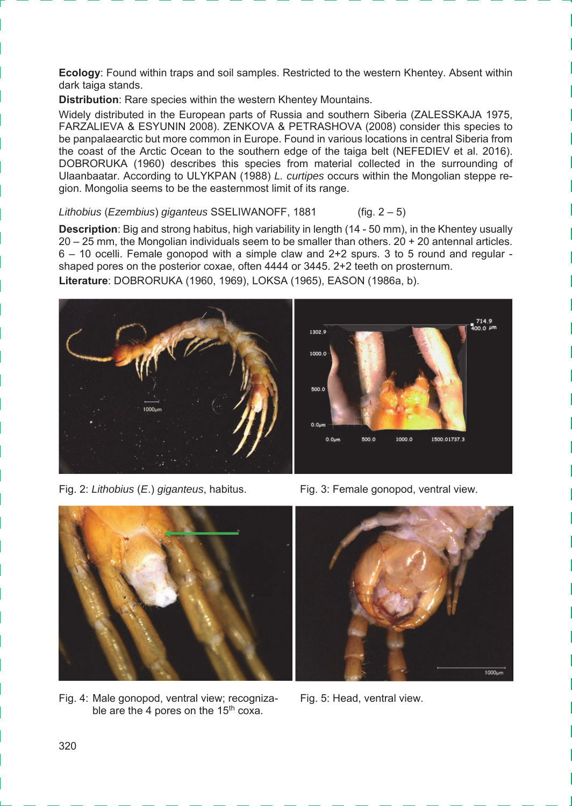**Ecology**: Found within traps and soil samples. Restricted to the western Khentey. Absent within dark taiga stands.

**Distribution**: Rare species within the western Khentey Mountains.

Widely distributed in the European parts of Russia and southern Siberia (ZALESSKAJA 1975, FARZALIEVA & ESYUNIN 2008). ZENKOVA & PETRASHOVA (2008) consider this species to be panpalaearctic but more common in Europe. Found in various locations in central Siberia from the coast of the Arctic Ocean to the southern edge of the taiga belt (NEFEDIEV et al. 2016). DOBRORUKA (1960) describes this species from material collected in the surrounding of Ulaanbaatar. According to ULYKPAN (1988) *L. curtipes* occurs within the Mongolian steppe region. Mongolia seems to be the easternmost limit of its range.

*Lithobius* (*Ezembius*) *giganteus* SSELIWANOFF, 1881 (fig. 2 – 5)

**Description**: Big and strong habitus, high variability in length (14 - 50 mm), in the Khentey usually 20 – 25 mm, the Mongolian individuals seem to be smaller than others. 20 + 20 antennal articles. 6 – 10 ocelli. Female gonopod with a simple claw and 2+2 spurs. 3 to 5 round and regular shaped pores on the posterior coxae, often 4444 or 3445. 2+2 teeth on prosternum. **Literature**: DOBRORUKA (1960, 1969), LOKSA (1965), EASON (1986a, b).



Fig. 2: *Lithobius* (*E*.) *giganteus*, habitus. Fig. 3: Female gonopod, ventral view.



Fig. 4: Male gonopod, ventral view; recogniza- Fig. 5: Head, ventral view. ble are the 4 pores on the 15<sup>th</sup> coxa.

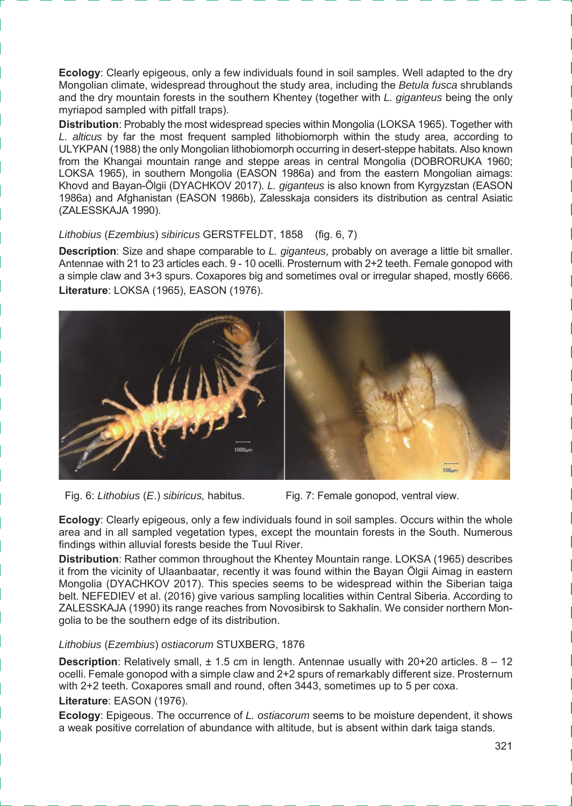**Ecology**: Clearly epigeous, only a few individuals found in soil samples. Well adapted to the dry Mongolian climate, widespread throughout the study area, including the *Betula fusca* shrublands and the dry mountain forests in the southern Khentey (together with *L. giganteus* being the only myriapod sampled with pitfall traps).

**Distribution**: Probably the most widespread species within Mongolia (LOKSA 1965). Together with *L. alticus* by far the most frequent sampled lithobiomorph within the study area, according to ULYKPAN (1988) the only Mongolian lithobiomorph occurring in desert-steppe habitats. Also known from the Khangai mountain range and steppe areas in central Mongolia (DOBRORUKA 1960; LOKSA 1965), in southern Mongolia (EASON 1986a) and from the eastern Mongolian aimags: Khovd and Bayan-Ölgii (DYACHKOV 2017). *L. giganteus* is also known from Kyrgyzstan (EASON 1986a) and Afghanistan (EASON 1986b), Zalesskaja considers its distribution as central Asiatic (ZALESSKAJA 1990).

*Lithobius* (*Ezembius*) *sibiricus* GERSTFELDT, 1858 (fig. 6, 7)

**Description**: Size and shape comparable to *L. giganteus*, probably on average a little bit smaller. Antennae with 21 to 23 articles each. 9 - 10 ocelli. Prosternum with 2+2 teeth. Female gonopod with a simple claw and 3+3 spurs. Coxapores big and sometimes oval or irregular shaped, mostly 6666. **Literature**: LOKSA (1965), EASON (1976).



- Fig. 6: *Lithobius* (*E*.) *sibiricus,* habitus. Fig. 7: Female gonopod, ventral view.
- 

**Ecology**: Clearly epigeous, only a few individuals found in soil samples. Occurs within the whole area and in all sampled vegetation types, except the mountain forests in the South. Numerous findings within alluvial forests beside the Tuul River.

**Distribution**: Rather common throughout the Khentey Mountain range. LOKSA (1965) describes it from the vicinity of Ulaanbaatar, recently it was found within the Bayan Ölgii Aimag in eastern Mongolia (DYACHKOV 2017). This species seems to be widespread within the Siberian taiga belt. NEFEDIEV et al. (2016) give various sampling localities within Central Siberia. According to ZALESSKAJA (1990) its range reaches from Novosibirsk to Sakhalin. We consider northern Mongolia to be the southern edge of its distribution.

#### *Lithobius* (*Ezembius*) *ostiacorum* STUXBERG, 1876

**Description**: Relatively small,  $\pm$  1.5 cm in length. Antennae usually with 20+20 articles. 8 - 12 ocelli. Female gonopod with a simple claw and 2+2 spurs of remarkably different size. Prosternum with 2+2 teeth. Coxapores small and round, often 3443, sometimes up to 5 per coxa.

#### **Literature**: EASON (1976).

**Ecology**: Epigeous. The occurrence of *L. ostiacorum* seems to be moisture dependent, it shows a weak positive correlation of abundance with altitude, but is absent within dark taiga stands.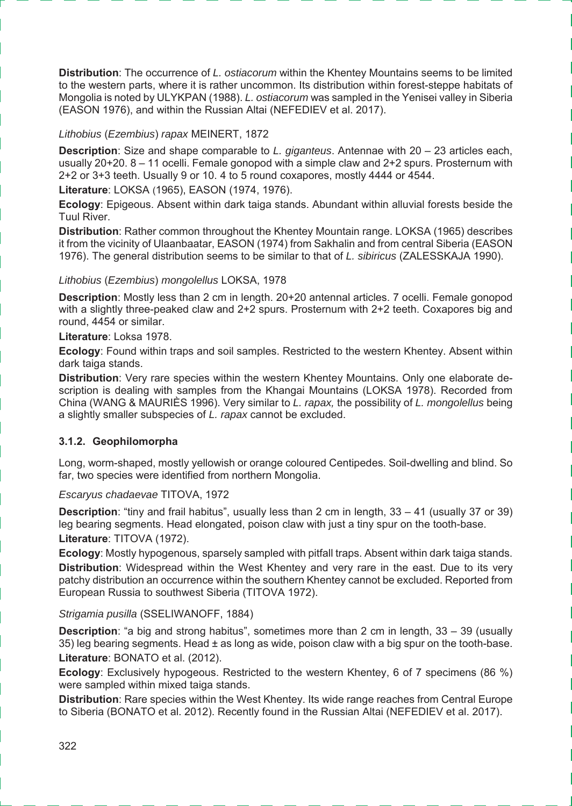**Distribution**: The occurrence of *L. ostiacorum* within the Khentey Mountains seems to be limited to the western parts, where it is rather uncommon. Its distribution within forest-steppe habitats of Mongolia is noted by ULYKPAN (1988). *L. ostiacorum* was sampled in the Yenisei valley in Siberia (EASON 1976), and within the Russian Altai (NEFEDIEV et al. 2017).

#### *Lithobius* (*Ezembius*) *rapax* MEINERT, 1872

**Description**: Size and shape comparable to *L. giganteus*. Antennae with 20 – 23 articles each, usually 20+20. 8 – 11 ocelli. Female gonopod with a simple claw and 2+2 spurs. Prosternum with 2+2 or 3+3 teeth. Usually 9 or 10. 4 to 5 round coxapores, mostly 4444 or 4544.

**Literature**: LOKSA (1965), EASON (1974, 1976).

**Ecology**: Epigeous. Absent within dark taiga stands. Abundant within alluvial forests beside the Tuul River.

**Distribution**: Rather common throughout the Khentey Mountain range. LOKSA (1965) describes it from the vicinity of Ulaanbaatar, EASON (1974) from Sakhalin and from central Siberia (EASON 1976). The general distribution seems to be similar to that of *L. sibiricus* (ZALESSKAJA 1990).

#### *Lithobius* (*Ezembius*) *mongolellus* LOKSA, 1978

**Description**: Mostly less than 2 cm in length. 20+20 antennal articles. 7 ocelli. Female gonopod with a slightly three-peaked claw and 2+2 spurs. Prosternum with 2+2 teeth. Coxapores big and round, 4454 or similar.

#### **Literature**: Loksa 1978.

**Ecology**: Found within traps and soil samples. Restricted to the western Khentey. Absent within dark taiga stands.

**Distribution**: Very rare species within the western Khentey Mountains. Only one elaborate description is dealing with samples from the Khangai Mountains (LOKSA 1978). Recorded from China (WANG & MAURIÈS 1996). Very similar to *L. rapax,* the possibility of *L. mongolellus* being a slightly smaller subspecies of *L. rapax* cannot be excluded.

#### **3.1.2. Geophilomorpha**

Long, worm-shaped, mostly yellowish or orange coloured Centipedes. Soil-dwelling and blind. So far, two species were identified from northern Mongolia.

#### *Escaryus chadaevae* TITOVA, 1972

**Description**: "tiny and frail habitus", usually less than 2 cm in length, 33 – 41 (usually 37 or 39) leg bearing segments. Head elongated, poison claw with just a tiny spur on the tooth-base. **Literature**: TITOVA (1972).

**Ecology**: Mostly hypogenous, sparsely sampled with pitfall traps. Absent within dark taiga stands. **Distribution**: Widespread within the West Khentey and very rare in the east. Due to its very patchy distribution an occurrence within the southern Khentey cannot be excluded. Reported from European Russia to southwest Siberia (TITOVA 1972).

#### *Strigamia pusilla* (SSELIWANOFF, 1884)

**Description**: "a big and strong habitus", sometimes more than 2 cm in length, 33 – 39 (usually 35) leg bearing segments. Head  $\pm$  as long as wide, poison claw with a big spur on the tooth-base. **Literature**: BONATO et al. (2012).

**Ecology:** Exclusively hypogeous. Restricted to the western Khentey, 6 of 7 specimens (86 %) were sampled within mixed taiga stands.

**Distribution**: Rare species within the West Khentey. Its wide range reaches from Central Europe to Siberia (BONATO et al. 2012). Recently found in the Russian Altai (NEFEDIEV et al. 2017).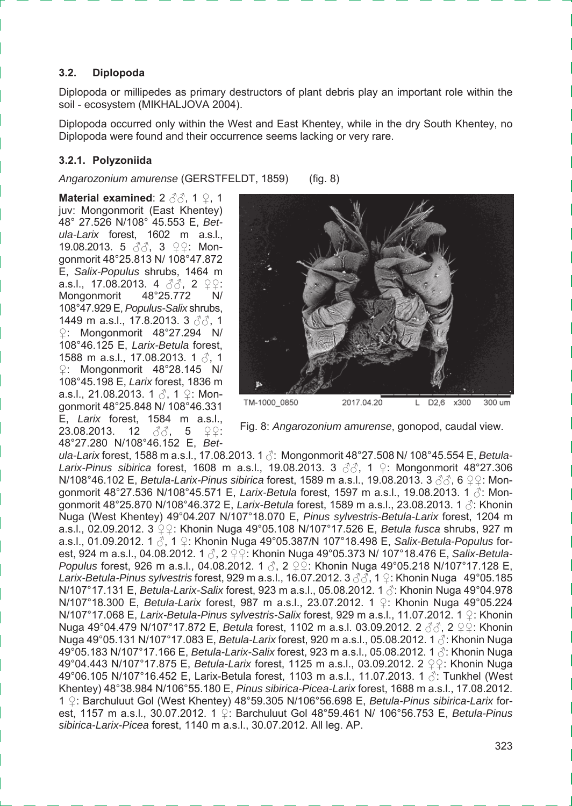#### **3.2. Diplopoda**

Diplopoda or millipedes as primary destructors of plant debris play an important role within the soil - ecosystem (MIKHALJOVA 2004).

Diplopoda occurred only within the West and East Khentey, while in the dry South Khentey, no Diplopoda were found and their occurrence seems lacking or very rare.

#### **3.2.1. Polyzoniida**

*Angarozonium amurense* (GERSTFELDT, 1859) (fig. 8)

**Material examined**: 2 ♂♂, 1 ♀, 1 juv: Mongonmorit (East Khentey) 48° 27.526 N/108° 45.553 E, *Betula-Larix* forest, 1602 m a.s.l., 19.08.2013. 5 3<sup>3</sup>. 3 ♀♀: Mongonmorit 48°25.813 N/ 108°47.872 E, *Salix-Populus* shrubs, 1464 m a.s.l., 17.08.2013. 4 33, 2 ♀♀: Mongonmorit 48°25.772 N/ 108°47.929 E, *Populus-Salix* shrubs, 1449 m a.s.l., 17.8.2013. 3 33, 1 ♀: Mongonmorit 48°27.294 N/ 108°46.125 E, *Larix-Betula* forest, 1588 m a.s.l., 17.08.2013. 1 3, 1 ♀: Mongonmorit 48°28.145 N/ 108°45.198 E, *Larix* forest, 1836 m a.s.l., 21.08.2013. 1 . ∂. 1 ♀: Mongonmorit 48°25.848 N/ 108°46.331 E, *Larix* forest, 1584 m a.s.l., 23.08.2013. 12 ∂∂, 5 ♀♀: 48°27.280 N/108°46.152 E, *Bet-*



Fig. 8: *Angarozonium amurense*, gonopod, caudal view.

*ula-Larix* forest, 1588 m a.s.l., 17.08.2013. 1 ♂: Mongonmorit 48°27.508 N/ 108°45.554 E, *Betula-Larix-Pinus sibirica* forest, 1608 m a.s.l., 19.08.2013. 3 ♂♂, 1 ♀: Mongonmorit 48°27.306 **N/108°46.102 E,** *Betula-Larix-Pinus sibirica* **forest, 1589 m a.s.l., 19.08.2013. 3 ♂ 6 ♀♀: Mon**gonmorit 48°27.536 N/108°45.571 E, *Larix-Betula* forest, 1597 m a.s.l., 19.08.2013. 1 ♂: Mongonmorit 48°25.870 N/108°46.372 E, *Larix-Betula* forest, 1589 m a.s.l., 23.08.2013. 1 ♂: Khonin Nuga (West Khentey) 49°04.207 N/107°18.070 E, *Pinus sylvestris-Betula-Larix* forest, 1204 m a.s.l., 02.09.2012. 3 ♀♀: Khonin Nuga 49°05.108 N/107°17.526 E, *Betula fusca* shrubs, 927 m a.s.l., 01.09.2012. 1 ♂, 1 ♀: Khonin Nuga 49°05.387/N 107°18.498 E, *Salix-Betula-Populus* forest, 924 m a.s.l., 04.08.2012. 1 ♂, 2 ♀♀: Khonin Nuga 49°05.373 N/ 107°18.476 E, *Salix-Betula-Populus* forest, 926 m a.s.l., 04.08.2012. 1 3, 2 ♀♀: Khonin Nuga 49°05.218 N/107°17.128 E, *Larix-Betula-Pinus sylvestris* forest, 929 m a.s.l., 16.07.2012. 3 ♂♂, 1 ♀: Khonin Nuga 49°05.185 N/107°17.131 E, *Betula-Larix-Salix* forest, 923 m a.s.l., 05.08.2012. 1 ♂: Khonin Nuga 49°04.978 N/107°18.300 E, *Betula-Larix* forest, 987 m a.s.l., 23.07.2012. 1 ♀: Khonin Nuga 49°05.224 N/107°17.068 E, *Larix-Betula-Pinus sylvestris-Salix* forest, 929 m a.s.l., 11.07.2012. 1 ♀: Khonin **Nuga 49°04.479 N/107°17.872 E,** *Betula* **forest, 1102 m a.s.l. 03.09.2012. 2 3 3, 2 ♀ ?: Khonin** Nuga 49°05.131 N/107°17.083 E, *Betula-Larix* forest, 920 m a.s.l., 05.08.2012. 1 ♂: Khonin Nuga 49°05.183 N/107°17.166 E, *Betula-Larix-Salix* forest, 923 m a.s.l., 05.08.2012. 1 ♂: Khonin Nuga 49°04.443 N/107°17.875 E, *Betula-Larix* forest, 1125 m a.s.l., 03.09.2012. 2 ♀♀: Khonin Nuga 49°06.105 N/107°16.452 E, Larix-Betula forest, 1103 m a.s.l., 11.07.2013. 1 ♂: Tunkhel (West Khentey) 48°38.984 N/106°55.180 E, *Pinus sibirica-Picea-Larix* forest, 1688 m a.s.l., 17.08.2012. 1 ♀: Barchuluut Gol (West Khentey) 48°59.305 N/106°56.698 E, *Betula-Pinus sibirica-Larix* forest, 1157 m a.s.l., 30.07.2012. 1 ♀: Barchuluut Gol 48°59.461 N/ 106°56.753 E, *Betula-Pinus sibirica-Larix-Picea* forest, 1140 m a.s.l., 30.07.2012. All leg. AP.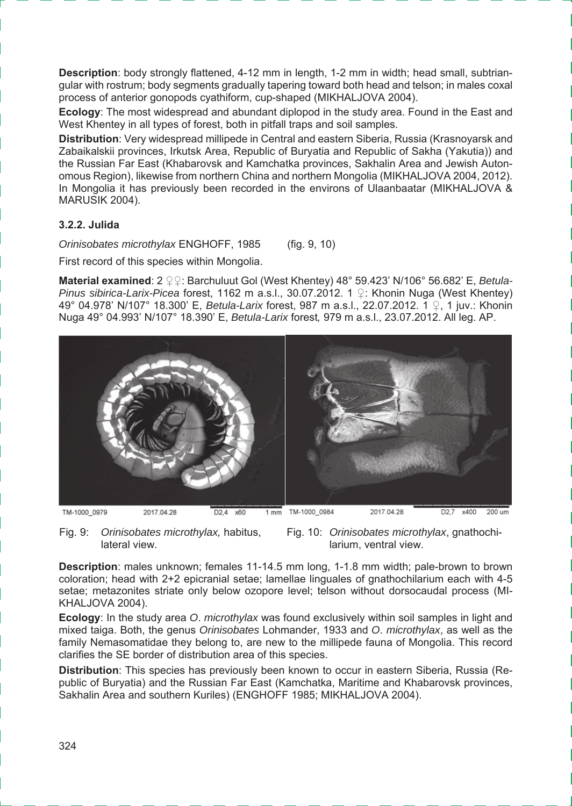**Description**: body strongly flattened, 4-12 mm in length, 1-2 mm in width; head small, subtriangular with rostrum; body segments gradually tapering toward both head and telson; in males coxal process of anterior gonopods cyathiform, cup-shaped (MIKHALJOVA 2004).

**Ecology**: The most widespread and abundant diplopod in the study area. Found in the East and West Khentey in all types of forest, both in pitfall traps and soil samples.

**Distribution**: Very widespread millipede in Central and eastern Siberia, Russia (Krasnoyarsk and Zabaikalskii provinces, Irkutsk Area, Republic of Buryatia and Republic of Sakha (Yakutia)) and the Russian Far East (Khabarovsk and Kamchatka provinces, Sakhalin Area and Jewish Autonomous Region), likewise from northern China and northern Mongolia (MIKHALJOVA 2004, 2012). In Mongolia it has previously been recorded in the environs of Ulaanbaatar (MIKHALJOVA & MARUSIK 2004).

#### **3.2.2. Julida**

*Orinisobates microthylax* ENGHOFF, 1985 (fig. 9, 10)

First record of this species within Mongolia.

**Material examined**: 2 ♀♀: Barchuluut Gol (West Khentey) 48° 59.423' N/106° 56.682' E, *Betula-Pinus sibirica-Larix-Picea* forest, 1162 m a.s.l., 30.07.2012. 1 ♀: Khonin Nuga (West Khentey) 49° 04.978' N/107° 18.300' E, *Betula-Larix* forest, 987 m a.s.l., 22.07.2012. 1 ♀, 1 juv.: Khonin Nuga 49° 04.993' N/107° 18.390' E, *Betula-Larix* forest*,* 979 m a.s.l., 23.07.2012. All leg. AP.



Fig. 9: *Orinisobates microthylax,* habitus, lateral view.

Fig. 10: *Orinisobates microthylax*, gnathochilarium, ventral view.

**Description**: males unknown; females 11-14.5 mm long, 1-1.8 mm width; pale-brown to brown coloration; head with 2+2 epicranial setae; lamellae linguales of gnathochilarium each with 4-5 setae; metazonites striate only below ozopore level; telson without dorsocaudal process (MI-KHALJOVA 2004).

**Ecology**: In the study area *O*. *microthylax* was found exclusively within soil samples in light and mixed taiga. Both, the genus *Orinisobates* Lohmander, 1933 and *O*. *microthylax*, as well as the family Nemasomatidae they belong to, are new to the millipede fauna of Mongolia. This record clarifies the SE border of distribution area of this species.

**Distribution**: This species has previously been known to occur in eastern Siberia, Russia (Republic of Buryatia) and the Russian Far East (Kamchatka, Maritime and Khabarovsk provinces, Sakhalin Area and southern Kuriles) (ENGHOFF 1985; MIKHALJOVA 2004).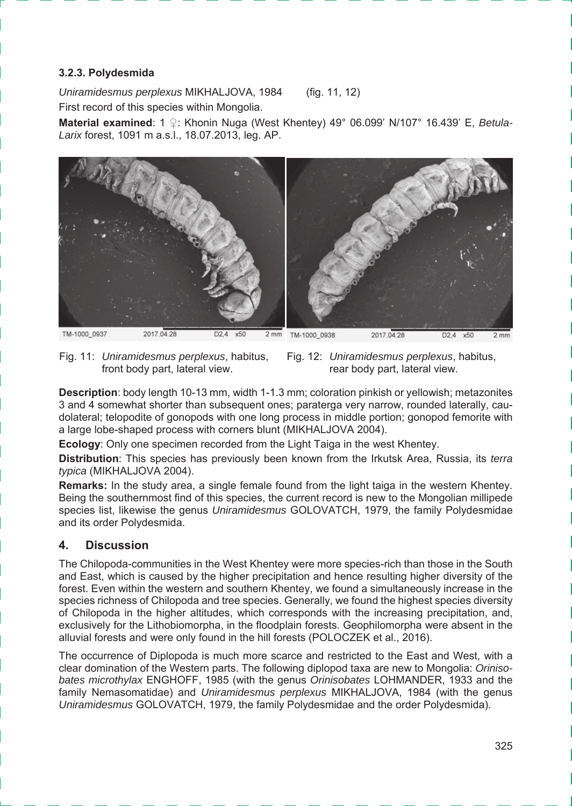#### **3.2.3. Polydesmida**

*Uniramidesmus perplexus* MIKHALJOVA, 1984 (fig. 11, 12) First record of this species within Mongolia.

**Material examined**: 1 ♀: Khonin Nuga (West Khentey) 49° 06.099' N/107° 16.439' E, *Betula-Larix* forest, 1091 m a.s.l., 18.07.2013, leg. AP.



Fig. 11: *Uniramidesmus perplexus*, habitus, front body part, lateral view.



**Description**: body length 10-13 mm, width 1-1.3 mm; coloration pinkish or yellowish; metazonites 3 and 4 somewhat shorter than subsequent ones; paraterga very narrow, rounded laterally, caudolateral; telopodite of gonopods with one long process in middle portion; gonopod femorite with a large lobe-shaped process with corners blunt (MIKHALJOVA 2004).

**Ecology**: Only one specimen recorded from the Light Taiga in the west Khentey.

**Distribution**: This species has previously been known from the Irkutsk Area, Russia, its *terra typica* (MIKHALJOVA 2004).

**Remarks:** In the study area, a single female found from the light taiga in the western Khentey. Being the southernmost find of this species, the current record is new to the Mongolian millipede species list, likewise the genus *Uniramidesmus* GOLOVATCH, 1979, the family Polydesmidae and its order Polydesmida.

#### **4. Discussion**

The Chilopoda-communities in the West Khentey were more species-rich than those in the South and East, which is caused by the higher precipitation and hence resulting higher diversity of the forest. Even within the western and southern Khentey, we found a simultaneously increase in the species richness of Chilopoda and tree species. Generally, we found the highest species diversity of Chilopoda in the higher altitudes, which corresponds with the increasing precipitation, and, exclusively for the Lithobiomorpha, in the floodplain forests. Geophilomorpha were absent in the alluvial forests and were only found in the hill forests (POLOCZEK et al., 2016).

The occurrence of Diplopoda is much more scarce and restricted to the East and West, with a clear domination of the Western parts. The following diplopod taxa are new to Mongolia: *Orinisobates microthylax* ENGHOFF, 1985 (with the genus *Orinisobates* LOHMANDER, 1933 and the family Nemasomatidae) and *Uniramidesmus perplexus* MIKHALJOVA, 1984 (with the genus *Uniramidesmus* GOLOVATCH, 1979, the family Polydesmidae and the order Polydesmida).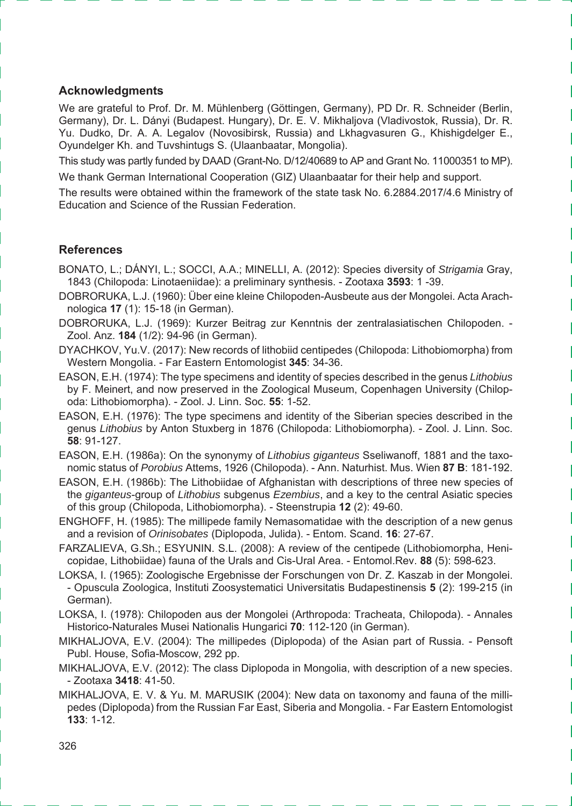#### **Acknowledgments**

We are grateful to Prof. Dr. M. Mühlenberg (Göttingen, Germany), PD Dr. R. Schneider (Berlin, Germany), Dr. L. Dányi (Budapest. Hungary), Dr. E. V. Mikhaljova (Vladivostok, Russia), Dr. R. Yu. Dudko, Dr. A. A. Legalov (Novosibirsk, Russia) and Lkhagvasuren G., Khishigdelger E., Oyundelger Kh. and Tuvshintugs S. (Ulaanbaatar, Mongolia).

This study was partly funded by DAAD (Grant-No. D/12/40689 to AP and Grant No. 11000351 to MP).

We thank German International Cooperation (GIZ) Ulaanbaatar for their help and support.

The results were obtained within the framework of the state task No. 6.2884.2017/4.6 Ministry of Education and Science of the Russian Federation.

#### **References**

- BONATO, L.; DÁNYI, L.; SOCCI, A.A.; MINELLI, A. (2012): Species diversity of *Strigamia* Gray, 1843 (Chilopoda: Linotaeniidae): a preliminary synthesis. - Zootaxa **3593**: 1 -39.
- DOBRORUKA, L.J. (1960): Über eine kleine Chilopoden-Ausbeute aus der Mongolei. Acta Arachnologica **17** (1): 15-18 (in German).
- DOBRORUKA, L.J. (1969): Kurzer Beitrag zur Kenntnis der zentralasiatischen Chilopoden. Zool. Anz. **184** (1/2): 94-96 (in German).
- DYACHKOV, Yu.V. (2017): New records of lithobiid centipedes (Chilopoda: Lithobiomorpha) from Western Mongolia. - Far Eastern Entomologist **345**: 34-36.
- EASON, E.H. (1974): The type specimens and identity of species described in the genus *Lithobius* by F. Meinert, and now preserved in the Zoological Museum, Copenhagen University (Chilopoda: Lithobiomorpha). - Zool. J. Linn. Soc. **55**: 1-52.
- EASON, E.H. (1976): The type specimens and identity of the Siberian species described in the genus *Lithobius* by Anton Stuxberg in 1876 (Chilopoda: Lithobiomorpha). - Zool. J. Linn. Soc. **58**: 91-127.
- EASON, E.H. (1986a): On the synonymy of *Lithobius giganteus* Sseliwanoff, 1881 and the taxonomic status of *Porobius* Attems, 1926 (Chilopoda). - Ann. Naturhist. Mus. Wien **87 B**: 181-192.
- EASON, E.H. (1986b): The Lithobiidae of Afghanistan with descriptions of three new species of the *giganteus*-group of *Lithobius* subgenus *Ezembius*, and a key to the central Asiatic species of this group (Chilopoda, Lithobiomorpha). - Steenstrupia **12** (2): 49-60.
- ENGHOFF, H. (1985): The millipede family Nemasomatidae with the description of a new genus and a revision of *Orinisobates* (Diplopoda, Julida). - Entom. Scand. **16**: 27-67.
- FARZALIEVA, G.Sh.; ESYUNIN. S.L. (2008): A review of the centipede (Lithobiomorpha, Henicopidae, Lithobiidae) fauna of the Urals and Cis-Ural Area. - Entomol.Rev. **88** (5): 598-623.
- LOKSA, I. (1965): Zoologische Ergebnisse der Forschungen von Dr. Z. Kaszab in der Mongolei. - Opuscula Zoologica, Instituti Zoosystematici Universitatis Budapestinensis **5** (2): 199-215 (in German).
- LOKSA, I. (1978): Chilopoden aus der Mongolei (Arthropoda: Tracheata, Chilopoda). Annales Historico-Naturales Musei Nationalis Hungarici **70**: 112-120 (in German).
- MIKHALJOVA, E.V. (2004): The millipedes (Diplopoda) of the Asian part of Russia. Pensoft Publ. House, Sofia-Moscow, 292 pp.
- MIKHALJOVA, E.V. (2012): The class Diplopoda in Mongolia, with description of a new species. - Zootaxa **3418**: 41-50.
- MIKHALJOVA, E. V. & Yu. M. MARUSIK (2004): New data on taxonomy and fauna of the millipedes (Diplopoda) from the Russian Far East, Siberia and Mongolia. - Far Eastern Entomologist **133**: 1-12.